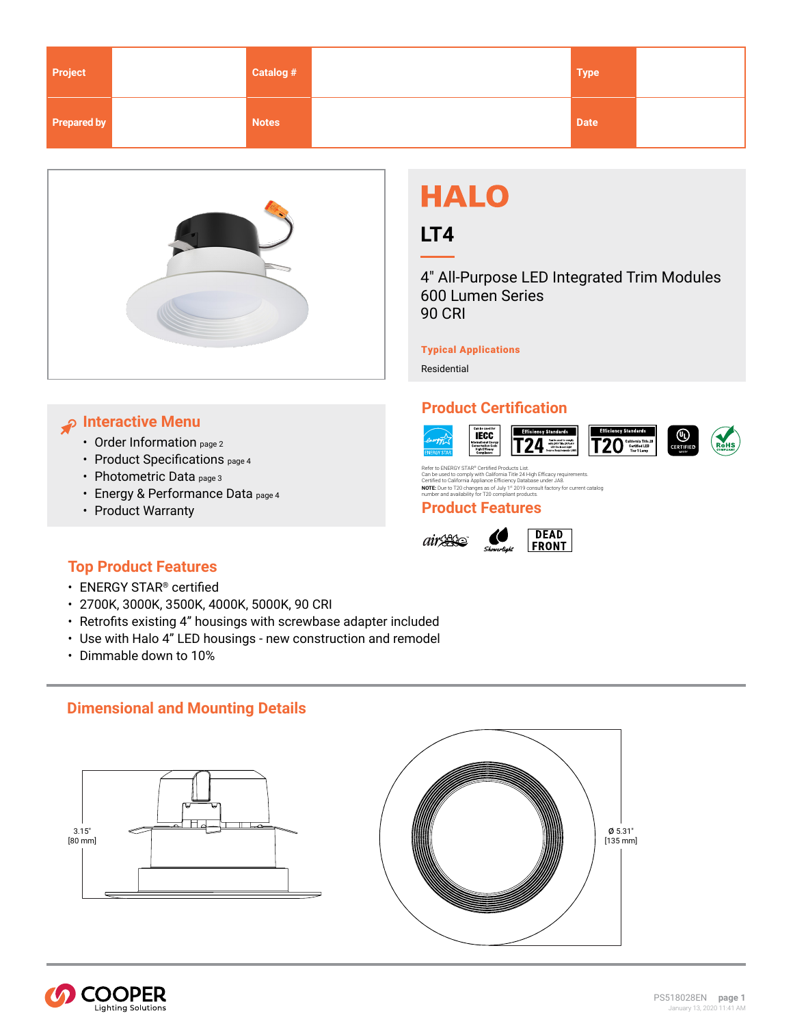<span id="page-0-0"></span>

| Project     | Catalog #    | <b>Type</b> |  |
|-------------|--------------|-------------|--|
| Prepared by | <b>Notes</b> | <b>Date</b> |  |



# **Interactive Menu**

- [Order Information page 2](#page-1-0)
- Product Specification[s page 4](#page-3-0)
- [Photometric Data page 3](#page-2-0)
- Energy & Performanc[e Data page 4](#page-3-0)
- [Product Warranty](www.cooperlighting.com)

# **HALO**

# **LT4**

4" All-Purpose LED Integrated Trim Modules 600 Lumen Series 90 CRI

Typical Applications

Residential

# **Product Certification**



Refer to ENERGY STAR® Certified Products List.<br>Can be used to comply with California Title 24 High Efficacy requirements.<br>Certified to California Appliance Efficiency Database under JA8.<br>**NOTE**: Due to T20 changes as of Ju

## **Product Features**





# **Top Product Features**

- ENERGY STAR® certified
- 2700K, 3000K, 3500K, 4000K, 5000K, 90 CRI
- Retrofits existing 4" housings with screwbase adapter included
- Use with Halo 4" LED housings new construction and remodel
- Dimmable down to 10%

# **Dimensional and Mounting Details**





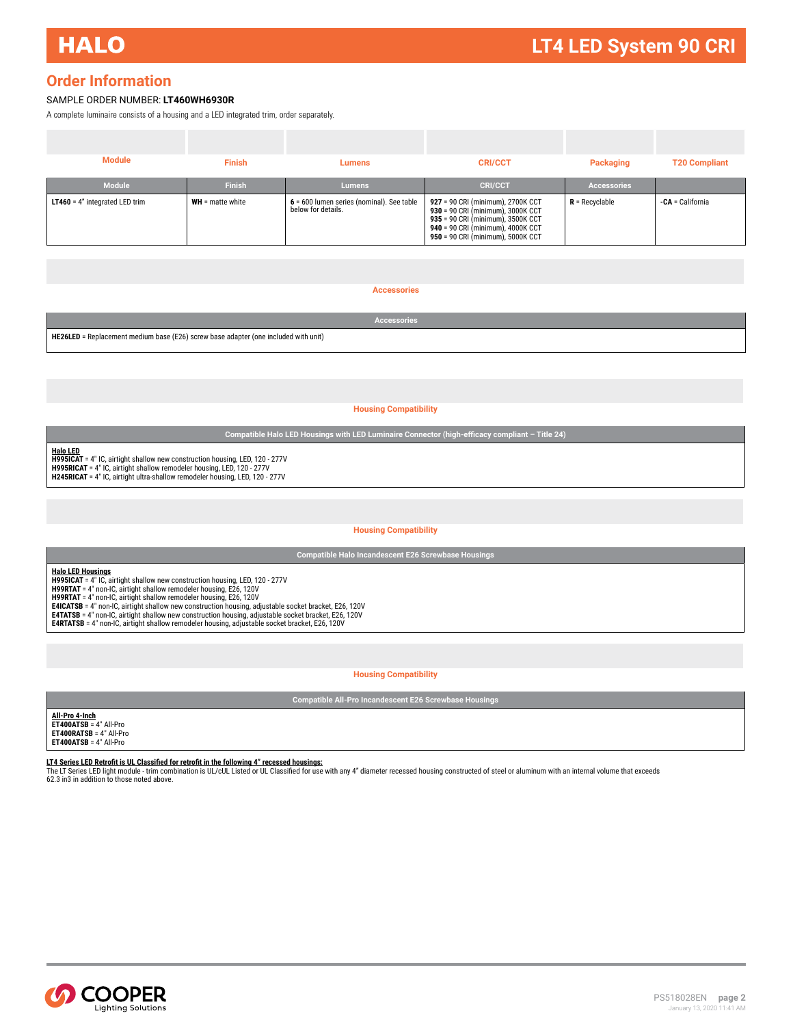# <span id="page-1-0"></span>**Order Information**

## SAMPLE ORDER NUMBER: **LT460WH6930R**

A complete luminaire consists of a housing and a LED integrated trim, order separately.

| <b>Module</b>                           | <b>Finish</b>      | Lumens                                                          | <b>CRI/CCT</b>                                                                                                                                                                        | Packaging          | <b>T20 Compliant</b> |
|-----------------------------------------|--------------------|-----------------------------------------------------------------|---------------------------------------------------------------------------------------------------------------------------------------------------------------------------------------|--------------------|----------------------|
| Module                                  | <b>Finish</b>      | <b>Lumens</b>                                                   | <b>CRI/CCT</b>                                                                                                                                                                        | <b>Accessories</b> |                      |
| <b>LT460</b> = $4"$ integrated LED trim | $WH =$ matte white | 6 = 600 lumen series (nominal). See table<br>below for details. | 927 = 90 CRI (minimum), 2700K CCT<br>930 = 90 CRI (minimum), 3000K CCT<br>935 = 90 CRI (minimum), 3500K CCT<br>940 = 90 CRI (minimum), 4000K CCT<br>950 = 90 CRI (minimum), 5000K CCT | $R = Recvclable$   | -CA = California     |

#### **Accessories**

|                                                                                            | Accessories |  |  |
|--------------------------------------------------------------------------------------------|-------------|--|--|
| <b>HE26LED</b> = Replacement medium base (E26) screw base adapter (one included with unit) |             |  |  |

#### **Housing Compatibility**

**Compatible Halo LED Housings with LED Luminaire Connector (high-efficacy compliant – Title 24)**

**Halo LED H995ICAT** = 4" IC, airtight shallow new construction housing, LED, 120 - 277V **H995RICAT** = 4" IC, airtight shallow remodeler housing, LED, 120 - 277V **H245RICAT** = 4" IC, airtight ultra-shallow remodeler housing, LED, 120 - 277V

#### **Housing Compatibility**

**Compatible Halo Incandescent E26 Screwbase Housings**

**Halo LED Housings H995ICAT** = 4" IC, airtight shallow new construction housing, LED, 120 - 277V<br>**H99RTAT** = 4" non-IC, airtight shallow remodeler housing, E26, 120V **H99RTAT** = 4" non-IC, airtight shallow remodeler housing, E26, 120V<br>**E4ICATSB =** 4" non-IC, airtight shallow new construction housing, adjustable socket bracket, E26, 120V<br>**E4TATSB =** 4" non-IC, airtight shallow new const **E4RTATSB** = 4" non-IC, airtight shallow remodeler housing, adjustable socket bracket, E26, 120V

#### **Housing Compatibility**

**Compatible All-Pro Incandescent E26 Screwbase Housings**

# **All-Pro 4-Inch ET400ATSB** = 4" All-Pro **ET400RATSB** = 4" All-Pro **ET400ATSB** = 4" All-Pro

**LT4 Series LED Retrofit is UL Classified for retrofit in the following 4" recessed housings:**<br>The LT Series LED light module - trim combination is UL/cUL Listed or UL Classified for use with any 4" diameter recessed housi

62.3 in3 in addition to those noted above.

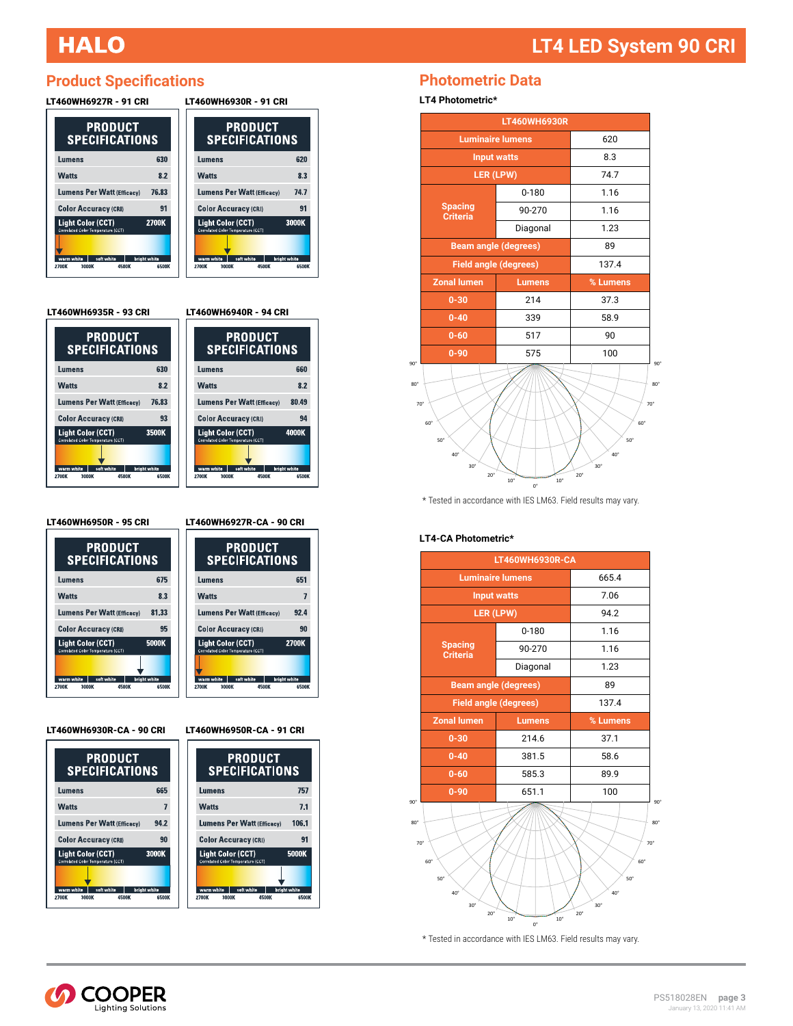# <span id="page-2-0"></span>**HALO**

# **Product Specifications**

| LT460WH6927R - 91 CRI                                                                                                 |                                       |  | LT460WH6930R - 91 CRI |                                                                                                     |                |                                       |
|-----------------------------------------------------------------------------------------------------------------------|---------------------------------------|--|-----------------------|-----------------------------------------------------------------------------------------------------|----------------|---------------------------------------|
| <b>PRODUCT</b><br><b>SPECIFICATIONS</b>                                                                               |                                       |  |                       | <b>SPECIFICATIONS</b>                                                                               | <b>PRODUCT</b> |                                       |
| Lumens                                                                                                                | 630                                   |  |                       | Lumens                                                                                              |                | 620                                   |
| <b>Watts</b>                                                                                                          | 8.2                                   |  |                       | <b>Watts</b>                                                                                        |                | 8.3                                   |
| <b>Lumens Per Watt (Efficacy)</b>                                                                                     | 76.83                                 |  |                       | <b>Lumens Per Watt (Efficacy)</b>                                                                   |                | 74.7                                  |
| <b>Color Accuracy (CRI)</b>                                                                                           | 91                                    |  |                       | <b>Color Accuracy (CRI)</b>                                                                         |                | 91                                    |
| <b>Light Color (CCT)</b><br>Correlated Color Temperature (CCT)<br>warm white<br>soft white<br>3000K<br>4500K<br>2700K | <b>2700K</b><br>bright white<br>6500K |  | 2700K                 | <b>Light Color (CCT)</b><br>Correlated Color Temperature (CCT)<br>soft white<br>warm white<br>3000K | 4500K          | 3000K<br><b>bright</b> white<br>6500K |

LT460WH6935R - 93 CRI

| <b>PRODUCT</b><br><b>SPECIFICATIONS</b>                        |                       |  |
|----------------------------------------------------------------|-----------------------|--|
| Lumens                                                         | 630                   |  |
| <b>Watts</b>                                                   | 8.2                   |  |
| <b>Lumens Per Watt (Efficacy)</b>                              | 76.83                 |  |
| <b>Color Accuracy (CRI)</b>                                    | 93                    |  |
| <b>Light Color (CCT)</b><br>Correlated Color Temperature (CCT) | 3500K                 |  |
|                                                                |                       |  |
| warm white<br>soft white<br>4500K<br>2700K<br>3000K            | bright white<br>6500K |  |

LT460WH6940R - 94 CRI



LT460WH6927R-CA - 90 CRI

**Lumens Per Watt (Efficacy)** 

**Color Accuracy (CRI)** 

**Light Color (CCT)** 

**PRODUCT<br>SPECIFICATIONS** 

651

 $\overline{7}$ 

 $92.4$ 

 $90\,$ 

**6500M** 

2700K

LT460WH6950R - 95 CRI

| <b>PRODUCT</b><br><b>SPECIFICATIONS</b>                                 |                       |  |  |
|-------------------------------------------------------------------------|-----------------------|--|--|
| Lumens                                                                  | 675                   |  |  |
| <b>Watts</b><br>8.3                                                     |                       |  |  |
| <b>Lumens Per Watt (Efficacy)</b><br>81.33                              |                       |  |  |
| 95<br><b>Color Accuracy (CRI)</b>                                       |                       |  |  |
| 5000K<br><b>Light Color (CCT)</b><br>Correlated Color Temperature (CCT) |                       |  |  |
|                                                                         |                       |  |  |
| soft white<br>warm white<br>3000K<br>4500K<br>2700K                     | bright white<br>6500K |  |  |

Lumens Watts





LT460WH6950R-CA - 91 CRI

warm white soft white bright white

| PRODUCT<br>SPECIFICATIONS                                      |                       |  |
|----------------------------------------------------------------|-----------------------|--|
| Lumens                                                         | 757                   |  |
| <b>Watts</b>                                                   | 7.1                   |  |
| <b>Lumens Per Watt (Efficacy)</b>                              | 106.1                 |  |
| <b>Color Accuracy (CRI)</b>                                    | 91                    |  |
| <b>Light Color (CCT)</b><br>Correlated Color Temperature (CCT) | 5000K                 |  |
|                                                                |                       |  |
| warm white<br>soft white<br>2700K<br>3000K<br>4500K            | bright white<br>6500K |  |

# **Photometric Data**

**LT4 Photometric\***

|                                                                     | LT460WH6930R                 |                                                                                 |  |
|---------------------------------------------------------------------|------------------------------|---------------------------------------------------------------------------------|--|
| <b>Luminaire lumens</b>                                             | 620                          |                                                                                 |  |
|                                                                     | <b>Input watts</b>           |                                                                                 |  |
|                                                                     | LER (LPW)                    | 74.7                                                                            |  |
|                                                                     | $0 - 180$                    | 1.16                                                                            |  |
| <b>Spacing</b><br><b>Criteria</b>                                   | 90-270                       | 1.16                                                                            |  |
|                                                                     | Diagonal                     | 1.23                                                                            |  |
|                                                                     | <b>Beam angle (degrees)</b>  | 89                                                                              |  |
|                                                                     | <b>Field angle (degrees)</b> | 137.4                                                                           |  |
| <b>Zonal lumen</b>                                                  | <b>Lumens</b>                |                                                                                 |  |
| $0 - 30$                                                            | 214                          | 37.3                                                                            |  |
| $0 - 40$                                                            | 339                          | 58.9                                                                            |  |
| $0 - 60$                                                            | 517                          | 90                                                                              |  |
| $0 - 90$                                                            | 575                          | 100                                                                             |  |
| $70^{\circ}$<br>60°<br>$50^{\circ}$<br>$40^{\circ}$<br>$30^{\circ}$ |                              | 70 <sup>°</sup><br>$60^{\circ}$<br>$50^{\circ}$<br>$40^{\circ}$<br>$30^{\circ}$ |  |

 $^{\star}$  Tested in accordance with IES LM63. Field results may vary.

## **LT4-CA Photometric\***



 $^{\star}$  Tested in accordance with IES LM63. Field results may vary.